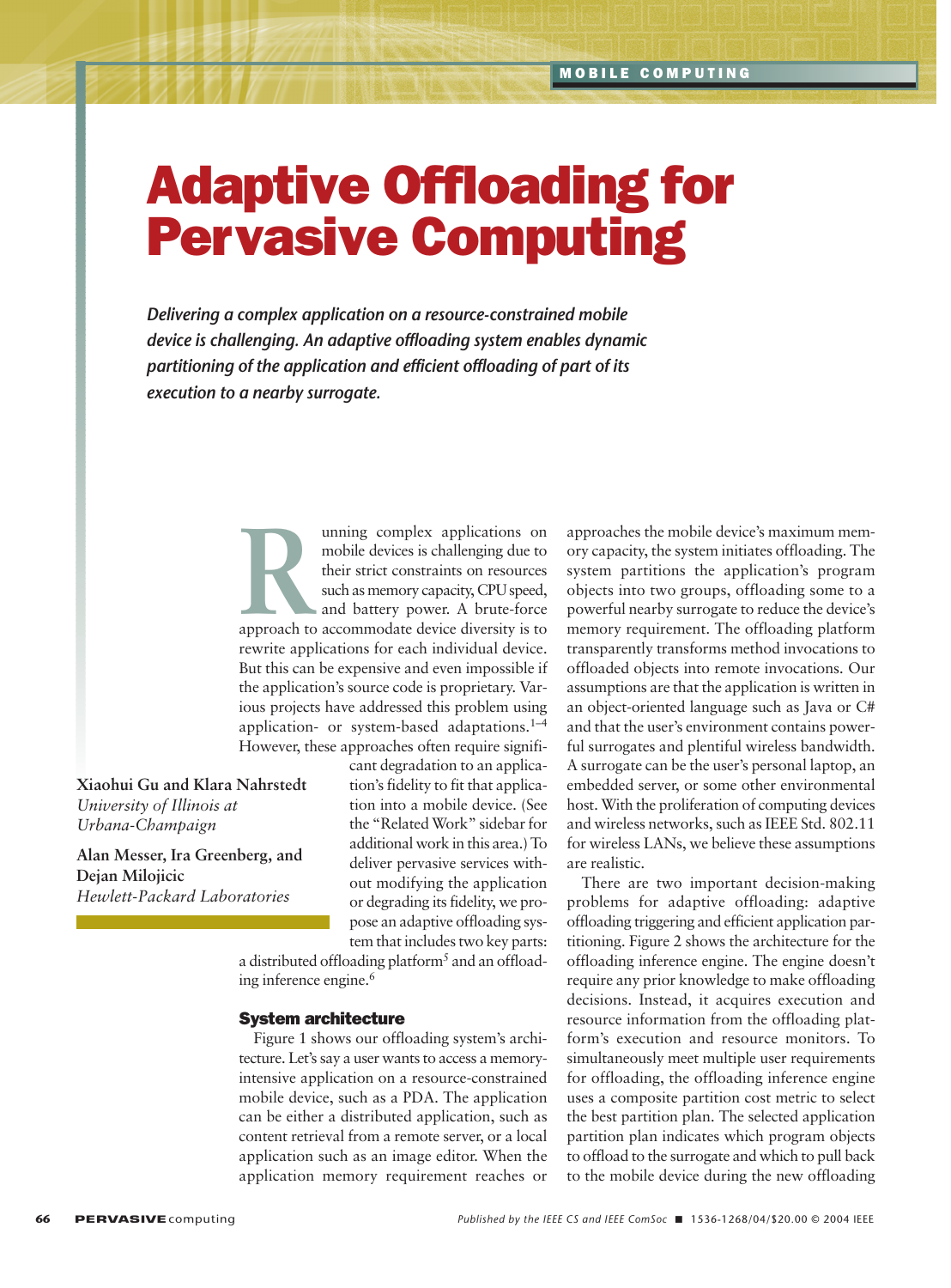# Adaptive Offloading for Pervasive Computing

*Delivering a complex application on a resource-constrained mobile device is challenging. An adaptive offloading system enables dynamic partitioning of the application and efficient offloading of part of its execution to a nearby surrogate.*

> **Running complex applications on**<br>
> mobile devices is challenging due to<br>
> their strict constraints on resources<br>
> such as memory capacity, CPU speed,<br>
> and battery power. A brute-force<br>
> approach to accommodate device diversit mobile devices is challenging due to their strict constraints on resources such as memory capacity, CPU speed, and battery power. A brute-force rewrite applications for each individual device. But this can be expensive and even impossible if the application's source code is proprietary. Various projects have addressed this problem using application- or system-based adaptations.1–4 However, these approaches often require signifi-

**Xiaohui Gu and Klara Nahrstedt** *University of Illinois at Urbana-Champaign*

**Alan Messer, Ira Greenberg, and Dejan Milojicic**  *Hewlett-Packard Laboratories*

cant degradation to an application's fidelity to fit that application into a mobile device. (See the "Related Work" sidebar for additional work in this area.) To deliver pervasive services without modifying the application or degrading its fidelity, we propose an adaptive offloading system that includes two key parts:

a distributed offloading platform<sup>5</sup> and an offloading inference engine.<sup>6</sup>

#### System architecture

Figure 1 shows our offloading system's architecture. Let's say a user wants to access a memoryintensive application on a resource-constrained mobile device, such as a PDA. The application can be either a distributed application, such as content retrieval from a remote server, or a local application such as an image editor. When the application memory requirement reaches or approaches the mobile device's maximum memory capacity, the system initiates offloading. The system partitions the application's program objects into two groups, offloading some to a powerful nearby surrogate to reduce the device's memory requirement. The offloading platform transparently transforms method invocations to offloaded objects into remote invocations. Our assumptions are that the application is written in an object-oriented language such as Java or C# and that the user's environment contains powerful surrogates and plentiful wireless bandwidth. A surrogate can be the user's personal laptop, an embedded server, or some other environmental host. With the proliferation of computing devices and wireless networks, such as IEEE Std. 802.11 for wireless LANs, we believe these assumptions are realistic.

There are two important decision-making problems for adaptive offloading: adaptive offloading triggering and efficient application partitioning. Figure 2 shows the architecture for the offloading inference engine. The engine doesn't require any prior knowledge to make offloading decisions. Instead, it acquires execution and resource information from the offloading platform's execution and resource monitors. To simultaneously meet multiple user requirements for offloading, the offloading inference engine uses a composite partition cost metric to select the best partition plan. The selected application partition plan indicates which program objects to offload to the surrogate and which to pull back to the mobile device during the new offloading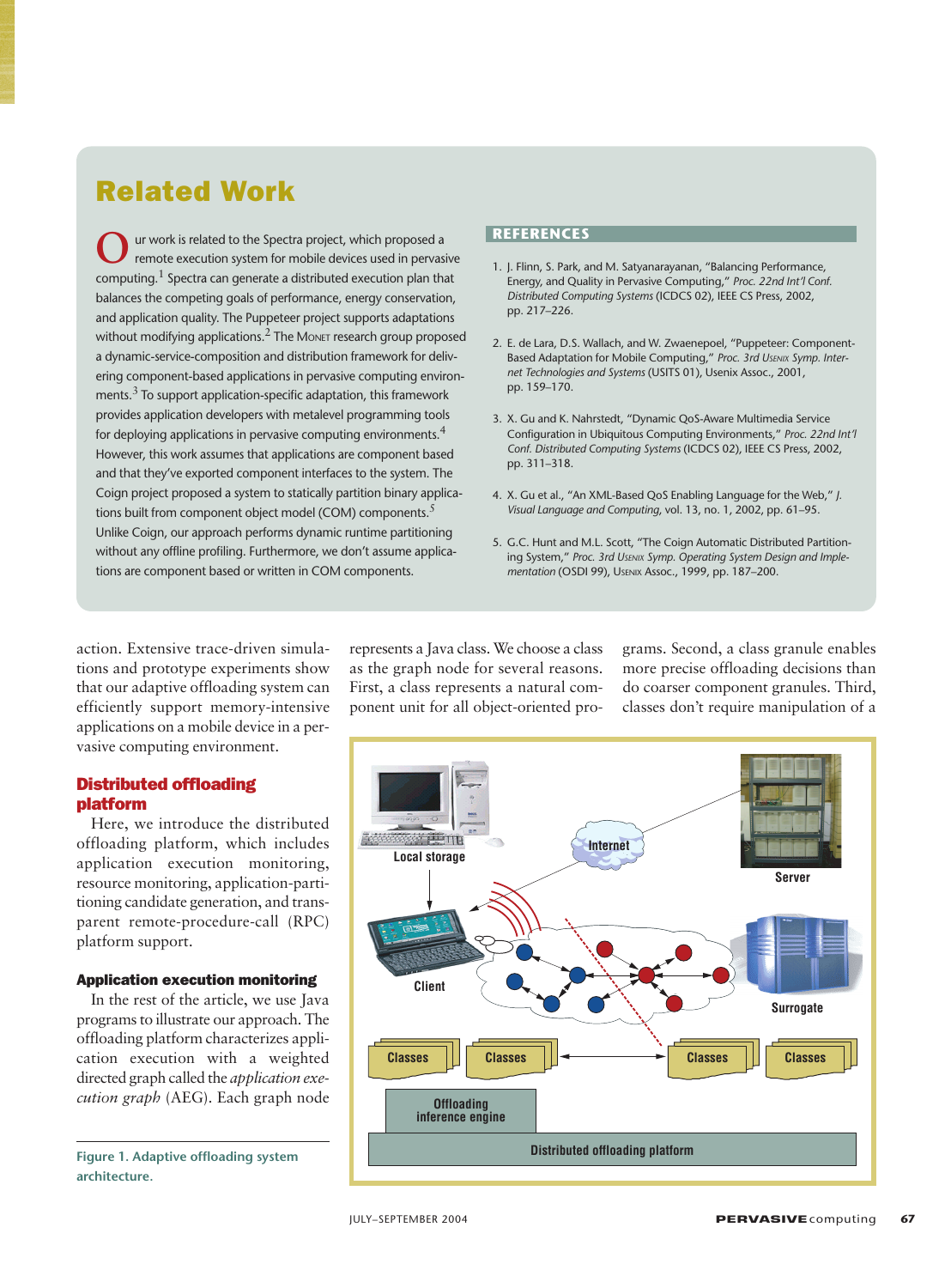## Related Work

**O**ur work is related to the Spectra project, which proposed a<br>remote execution system for mobile devices used in pervasive computing.<sup>1</sup> Spectra can generate a distributed execution plan that balances the competing goals of performance, energy conservation, and application quality. The Puppeteer project supports adaptations without modifying applications. $2$  The Monet research group proposed a dynamic-service-composition and distribution framework for delivering component-based applications in pervasive computing environments. $3$  To support application-specific adaptation, this framework provides application developers with metalevel programming tools for deploying applications in pervasive computing environments.<sup>4</sup> However, this work assumes that applications are component based and that they've exported component interfaces to the system. The Coign project proposed a system to statically partition binary applications built from component object model (COM) components.<sup>5</sup> Unlike Coign, our approach performs dynamic runtime partitioning without any offline profiling. Furthermore, we don't assume applications are component based or written in COM components.

#### **REFERENCES**

- 1. J. Flinn, S. Park, and M. Satyanarayanan, "Balancing Performance, Energy, and Quality in Pervasive Computing," *Proc. 22nd Int'l Conf. Distributed Computing Systems* (ICDCS 02), IEEE CS Press, 2002, pp. 217–226.
- 2. E. de Lara, D.S. Wallach, and W. Zwaenepoel, "Puppeteer: Component-Based Adaptation for Mobile Computing," *Proc. 3rd USENIX Symp. Internet Technologies and Systems* (USITS 01), Usenix Assoc., 2001, pp. 159–170.
- 3. X. Gu and K. Nahrstedt, "Dynamic QoS-Aware Multimedia Service Configuration in Ubiquitous Computing Environments," *Proc. 22nd Int'l Conf. Distributed Computing Systems* (ICDCS 02), IEEE CS Press, 2002, pp. 311–318.
- 4. X. Gu et al., "An XML-Based QoS Enabling Language for the Web," *J. Visual Language and Computing*, vol. 13, no. 1, 2002, pp. 61–95.
- 5. G.C. Hunt and M.L. Scott, "The Coign Automatic Distributed Partitioning System," *Proc. 3rd USENIX Symp. Operating System Design and Implementation* (OSDI 99), USENIX Assoc., 1999, pp. 187–200.

action. Extensive trace-driven simulations and prototype experiments show that our adaptive offloading system can efficiently support memory-intensive applications on a mobile device in a pervasive computing environment.

#### Distributed offloading platform

Here, we introduce the distributed offloading platform, which includes application execution monitoring, resource monitoring, application-partitioning candidate generation, and transparent remote-procedure-call (RPC) platform support.

#### Application execution monitoring

In the rest of the article, we use Java programs to illustrate our approach. The offloading platform characterizes application execution with a weighted directed graph called the *application execution graph* (AEG). Each graph node

**Figure 1. Adaptive offloading system architecture.**

represents a Java class. We choose a class as the graph node for several reasons. First, a class represents a natural component unit for all object-oriented programs. Second, a class granule enables more precise offloading decisions than do coarser component granules. Third, classes don't require manipulation of a

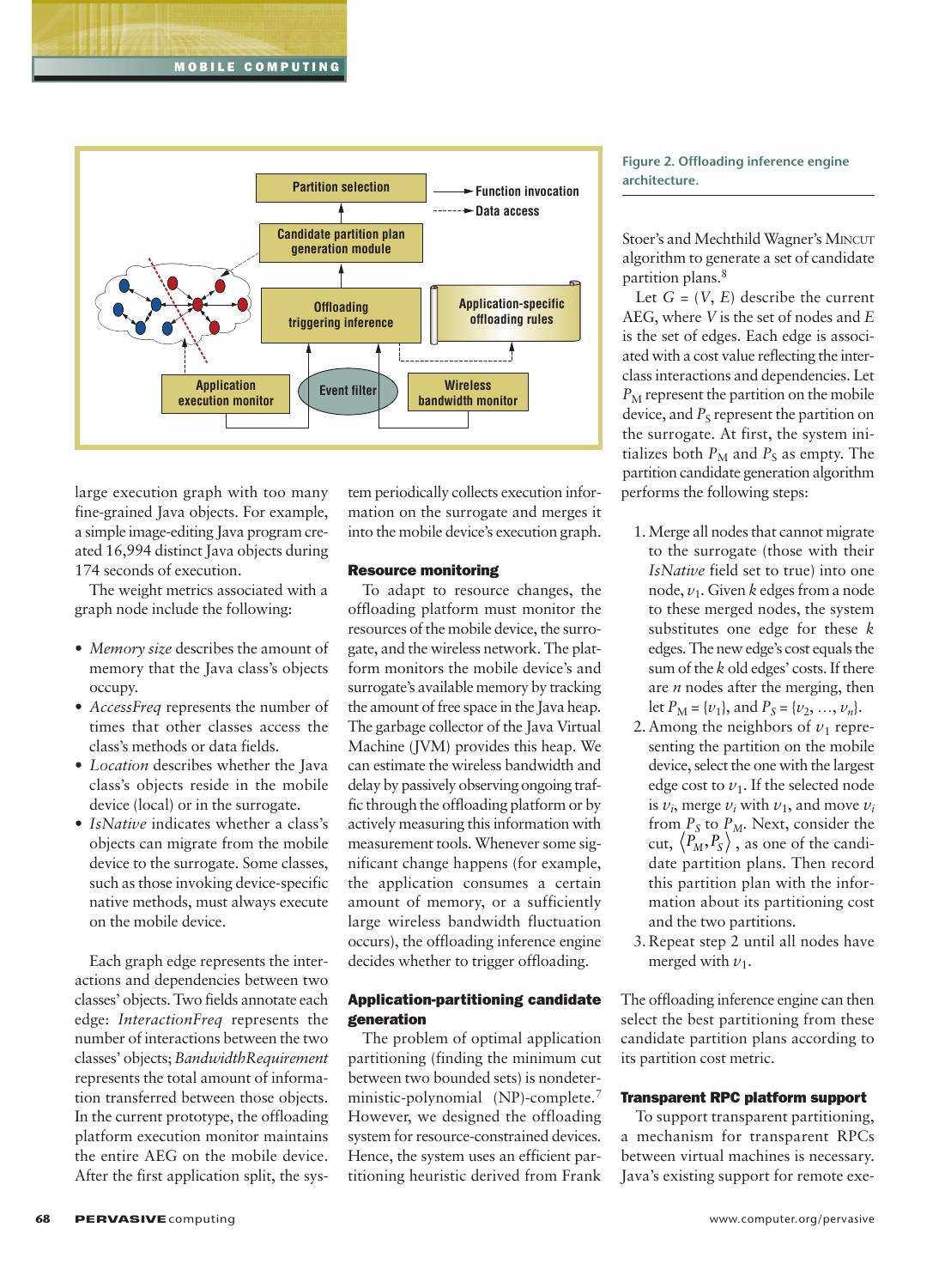

large execution graph with too many fine-grained Java objects. For example, a simple image-editing Java program created 16,994 distinct Java objects during 174 seconds of execution.

The weight metrics associated with a graph node include the following:

- *Memory size* describes the amount of memory that the Java class's objects occupy.
- *AccessFreq* represents the number of times that other classes access the class's methods or data fields.
- *Location* describes whether the Java class's objects reside in the mobile device (local) or in the surrogate.
- *IsNative* indicates whether a class's objects can migrate from the mobile device to the surrogate. Some classes, such as those invoking device-specific native methods, must always execute on the mobile device.

Each graph edge represents the interactions and dependencies between two classes' objects. Two fields annotate each edge: *InteractionFreq* represents the number of interactions between the two classes' objects; *BandwidthRequirement* represents the total amount of information transferred between those objects. In the current prototype, the offloading platform execution monitor maintains the entire AEG on the mobile device. After the first application split, the system periodically collects execution information on the surrogate and merges it into the mobile device's execution graph.

#### Resource monitoring

To adapt to resource changes, the offloading platform must monitor the resources of the mobile device, the surrogate, and the wireless network. The platform monitors the mobile device's and surrogate's available memory by tracking the amount of free space in the Java heap. The garbage collector of the Java Virtual Machine (JVM) provides this heap. We can estimate the wireless bandwidth and delay by passively observing ongoing traffic through the offloading platform or by actively measuring this information with measurement tools. Whenever some significant change happens (for example, the application consumes a certain amount of memory, or a sufficiently large wireless bandwidth fluctuation occurs), the offloading inference engine decides whether to trigger offloading.

#### Application-partitioning candidate generation

The problem of optimal application partitioning (finding the minimum cut between two bounded sets) is nondeterministic-polynomial (NP)-complete.<sup>7</sup> However, we designed the offloading system for resource-constrained devices. Hence, the system uses an efficient partitioning heuristic derived from Frank

#### **Figure 2. Offloading inference engine architecture.**

Stoer's and Mechthild Wagner's MINCUT algorithm to generate a set of candidate partition plans.<sup>8</sup>

Let  $G = (V, E)$  describe the current AEG, where *V* is the set of nodes and *E* is the set of edges. Each edge is associated with a cost value reflecting the interclass interactions and dependencies. Let  $P_M$  represent the partition on the mobile device, and  $P<sub>S</sub>$  represent the partition on the surrogate. At first, the system initializes both  $P_M$  and  $P_S$  as empty. The partition candidate generation algorithm performs the following steps:

- 1. Merge all nodes that cannot migrate to the surrogate (those with their *IsNative* field set to true) into one node, *v*1. Given *k* edges from a node to these merged nodes, the system substitutes one edge for these *k* edges. The new edge's cost equals the sum of the *k* old edges' costs. If there are *n* nodes after the merging, then let  $P_M = \{v_1\}$ , and  $P_S = \{v_2, ..., v_n\}$ .
- 2. Among the neighbors of  $v_1$  representing the partition on the mobile device, select the one with the largest edge cost to  $v_1$ . If the selected node is  $v_i$ , merge  $v_i$  with  $v_1$ , and move  $v_i$ from  $P_S$  to  $P_M$ . Next, consider the cut,  $\langle P_M, P_S \rangle$  , as one of the candidate partition plans. Then record this partition plan with the information about its partitioning cost and the two partitions.
- 3. Repeat step 2 until all nodes have merged with  $v_1$ .

The offloading inference engine can then select the best partitioning from these candidate partition plans according to its partition cost metric.

#### Transparent RPC platform support

To support transparent partitioning, a mechanism for transparent RPCs between virtual machines is necessary. Java's existing support for remote exe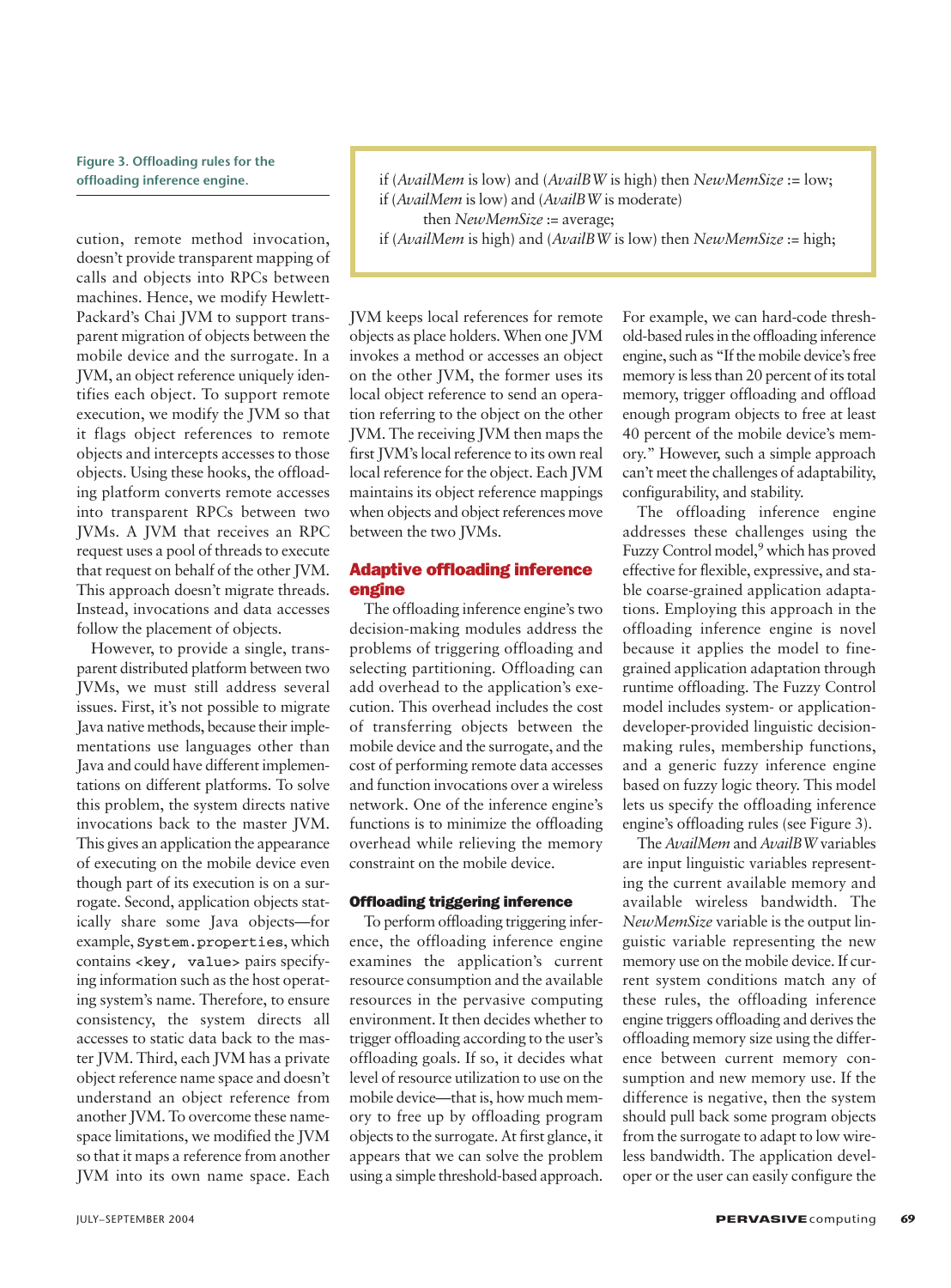**Figure 3. Offloading rules for the** 

cution, remote method invocation, doesn't provide transparent mapping of calls and objects into RPCs between machines. Hence, we modify Hewlett-Packard's Chai JVM to support transparent migration of objects between the mobile device and the surrogate. In a JVM, an object reference uniquely identifies each object. To support remote execution, we modify the JVM so that it flags object references to remote objects and intercepts accesses to those objects. Using these hooks, the offloading platform converts remote accesses into transparent RPCs between two JVMs. A JVM that receives an RPC request uses a pool of threads to execute that request on behalf of the other JVM. This approach doesn't migrate threads. Instead, invocations and data accesses follow the placement of objects.

However, to provide a single, transparent distributed platform between two JVMs, we must still address several issues. First, it's not possible to migrate Java native methods, because their implementations use languages other than Java and could have different implementations on different platforms. To solve this problem, the system directs native invocations back to the master JVM. This gives an application the appearance of executing on the mobile device even though part of its execution is on a surrogate. Second, application objects statically share some Java objects—for example, System.properties, which contains <key, value> pairs specifying information such as the host operating system's name. Therefore, to ensure consistency, the system directs all accesses to static data back to the master JVM. Third, each JVM has a private object reference name space and doesn't understand an object reference from another JVM. To overcome these namespace limitations, we modified the JVM so that it maps a reference from another JVM into its own name space. Each

if (*AvailMem* is high) and (*AvailBW* is low) then *NewMemSize* := high;

JVM keeps local references for remote objects as place holders. When one JVM invokes a method or accesses an object on the other JVM, the former uses its local object reference to send an operation referring to the object on the other JVM. The receiving JVM then maps the first JVM's local reference to its own real local reference for the object. Each JVM maintains its object reference mappings when objects and object references move between the two JVMs.

#### Adaptive offloading inference engine

The offloading inference engine's two decision-making modules address the problems of triggering offloading and selecting partitioning. Offloading can add overhead to the application's execution. This overhead includes the cost of transferring objects between the mobile device and the surrogate, and the cost of performing remote data accesses and function invocations over a wireless network. One of the inference engine's functions is to minimize the offloading overhead while relieving the memory constraint on the mobile device.

#### Offloading triggering inference

To perform offloading triggering inference, the offloading inference engine examines the application's current resource consumption and the available resources in the pervasive computing environment. It then decides whether to trigger offloading according to the user's offloading goals. If so, it decides what level of resource utilization to use on the mobile device—that is, how much memory to free up by offloading program objects to the surrogate. At first glance, it appears that we can solve the problem using a simple threshold-based approach.

For example, we can hard-code threshold-based rules in the offloading inference engine, such as "If the mobile device's free memory is less than 20 percent of its total memory, trigger offloading and offload enough program objects to free at least 40 percent of the mobile device's memory." However, such a simple approach can't meet the challenges of adaptability, configurability, and stability.

The offloading inference engine addresses these challenges using the Fuzzy Control model,<sup>9</sup> which has proved effective for flexible, expressive, and stable coarse-grained application adaptations. Employing this approach in the offloading inference engine is novel because it applies the model to finegrained application adaptation through runtime offloading. The Fuzzy Control model includes system- or applicationdeveloper-provided linguistic decisionmaking rules, membership functions, and a generic fuzzy inference engine based on fuzzy logic theory. This model lets us specify the offloading inference engine's offloading rules (see Figure 3).

The *AvailMem* and *AvailBW* variables are input linguistic variables representing the current available memory and available wireless bandwidth. The *NewMemSize* variable is the output linguistic variable representing the new memory use on the mobile device. If current system conditions match any of these rules, the offloading inference engine triggers offloading and derives the offloading memory size using the difference between current memory consumption and new memory use. If the difference is negative, then the system should pull back some program objects from the surrogate to adapt to low wireless bandwidth. The application developer or the user can easily configure the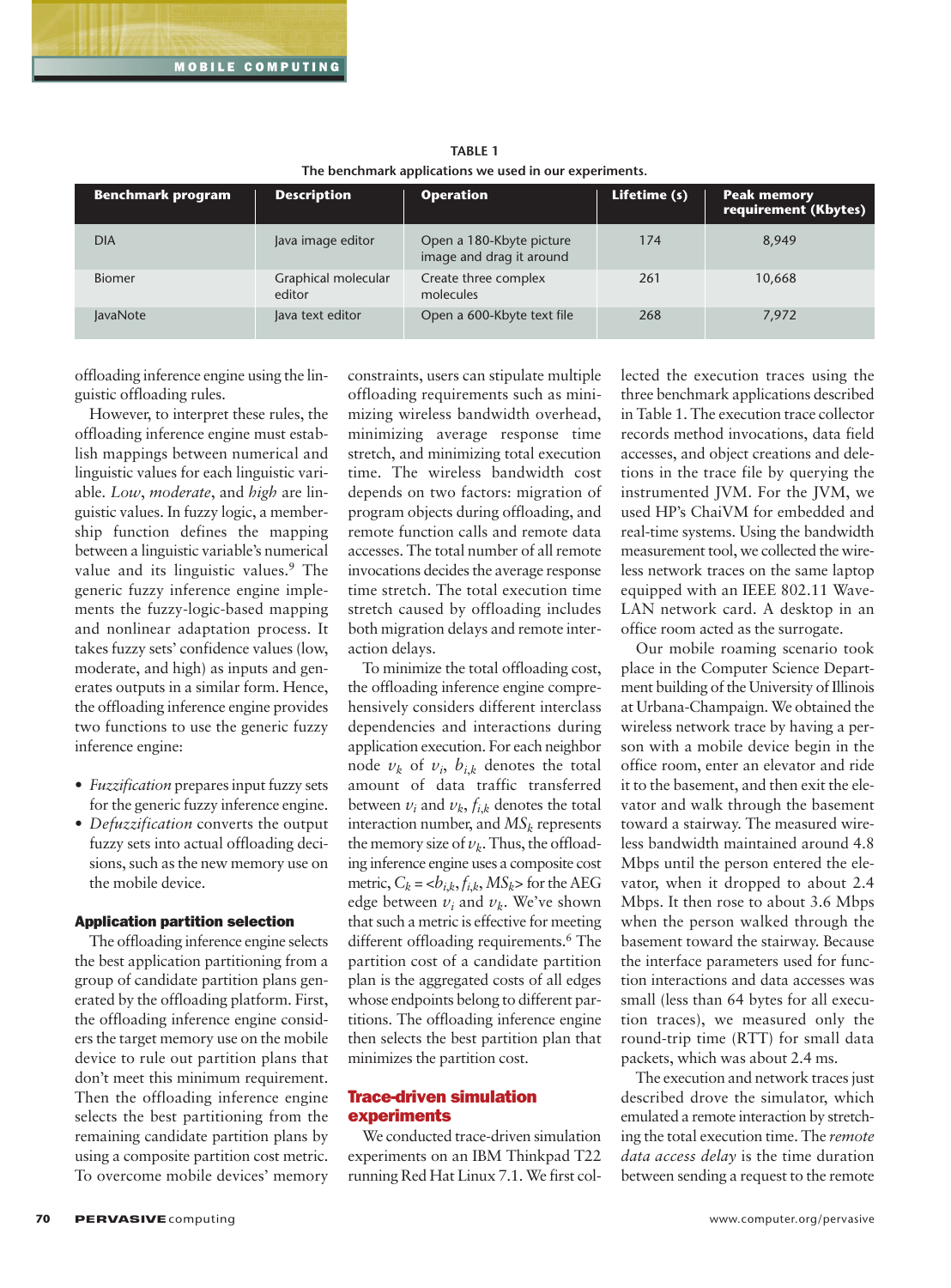| THE DETICITION & applications we ased in our experiments. |                               |                                                      |              |                                            |
|-----------------------------------------------------------|-------------------------------|------------------------------------------------------|--------------|--------------------------------------------|
| <b>Benchmark program</b>                                  | <b>Description</b>            | <b>Operation</b>                                     | Lifetime (s) | <b>Peak memory</b><br>requirement (Kbytes) |
| <b>DIA</b>                                                | Java image editor             | Open a 180-Kbyte picture<br>image and drag it around | 174          | 8,949                                      |
| <b>Biomer</b>                                             | Graphical molecular<br>editor | Create three complex<br>molecules                    | 261          | 10,668                                     |
| <b>JavaNote</b>                                           | Java text editor              | Open a 600-Kbyte text file                           | 268          | 7,972                                      |

**TABLE 1 The benchmark applications we used in our experiments.**

offloading inference engine using the linguistic offloading rules.

However, to interpret these rules, the offloading inference engine must establish mappings between numerical and linguistic values for each linguistic variable. *Low*, *moderate*, and *high* are linguistic values. In fuzzy logic, a membership function defines the mapping between a linguistic variable's numerical value and its linguistic values.<sup>9</sup> The generic fuzzy inference engine implements the fuzzy-logic-based mapping and nonlinear adaptation process. It takes fuzzy sets' confidence values (low, moderate, and high) as inputs and generates outputs in a similar form. Hence, the offloading inference engine provides two functions to use the generic fuzzy inference engine:

- *Fuzzification* prepares input fuzzy sets for the generic fuzzy inference engine.
- *Defuzzification* converts the output fuzzy sets into actual offloading decisions, such as the new memory use on the mobile device.

#### Application partition selection

The offloading inference engine selects the best application partitioning from a group of candidate partition plans generated by the offloading platform. First, the offloading inference engine considers the target memory use on the mobile device to rule out partition plans that don't meet this minimum requirement. Then the offloading inference engine selects the best partitioning from the remaining candidate partition plans by using a composite partition cost metric. To overcome mobile devices' memory constraints, users can stipulate multiple offloading requirements such as minimizing wireless bandwidth overhead, minimizing average response time stretch, and minimizing total execution time. The wireless bandwidth cost depends on two factors: migration of program objects during offloading, and remote function calls and remote data accesses. The total number of all remote invocations decides the average response time stretch. The total execution time stretch caused by offloading includes both migration delays and remote interaction delays.

To minimize the total offloading cost, the offloading inference engine comprehensively considers different interclass dependencies and interactions during application execution. For each neighbor node  $v_k$  of  $v_i$ ,  $b_{i,k}$  denotes the total amount of data traffic transferred between  $v_i$  and  $v_k$ ,  $f_{i,k}$  denotes the total interaction number, and *MSk* represents the memory size of  $v_k$ . Thus, the offloading inference engine uses a composite cost metric,  $C_k = \langle b_{i,k}, f_{i,k}, MS_k \rangle$  for the AEG edge between  $v_i$  and  $v_k$ . We've shown that such a metric is effective for meeting different offloading requirements.<sup>6</sup> The partition cost of a candidate partition plan is the aggregated costs of all edges whose endpoints belong to different partitions. The offloading inference engine then selects the best partition plan that minimizes the partition cost.

#### Trace-driven simulation experiments

We conducted trace-driven simulation experiments on an IBM Thinkpad T22 running Red Hat Linux 7.1. We first collected the execution traces using the three benchmark applications described in Table 1. The execution trace collector records method invocations, data field accesses, and object creations and deletions in the trace file by querying the instrumented JVM. For the JVM, we used HP's ChaiVM for embedded and real-time systems. Using the bandwidth measurement tool, we collected the wireless network traces on the same laptop equipped with an IEEE 802.11 Wave-LAN network card. A desktop in an office room acted as the surrogate.

Our mobile roaming scenario took place in the Computer Science Department building of the University of Illinois at Urbana-Champaign. We obtained the wireless network trace by having a person with a mobile device begin in the office room, enter an elevator and ride it to the basement, and then exit the elevator and walk through the basement toward a stairway. The measured wireless bandwidth maintained around 4.8 Mbps until the person entered the elevator, when it dropped to about 2.4 Mbps. It then rose to about 3.6 Mbps when the person walked through the basement toward the stairway. Because the interface parameters used for function interactions and data accesses was small (less than 64 bytes for all execution traces), we measured only the round-trip time (RTT) for small data packets, which was about 2.4 ms.

The execution and network traces just described drove the simulator, which emulated a remote interaction by stretching the total execution time. The *remote data access delay* is the time duration between sending a request to the remote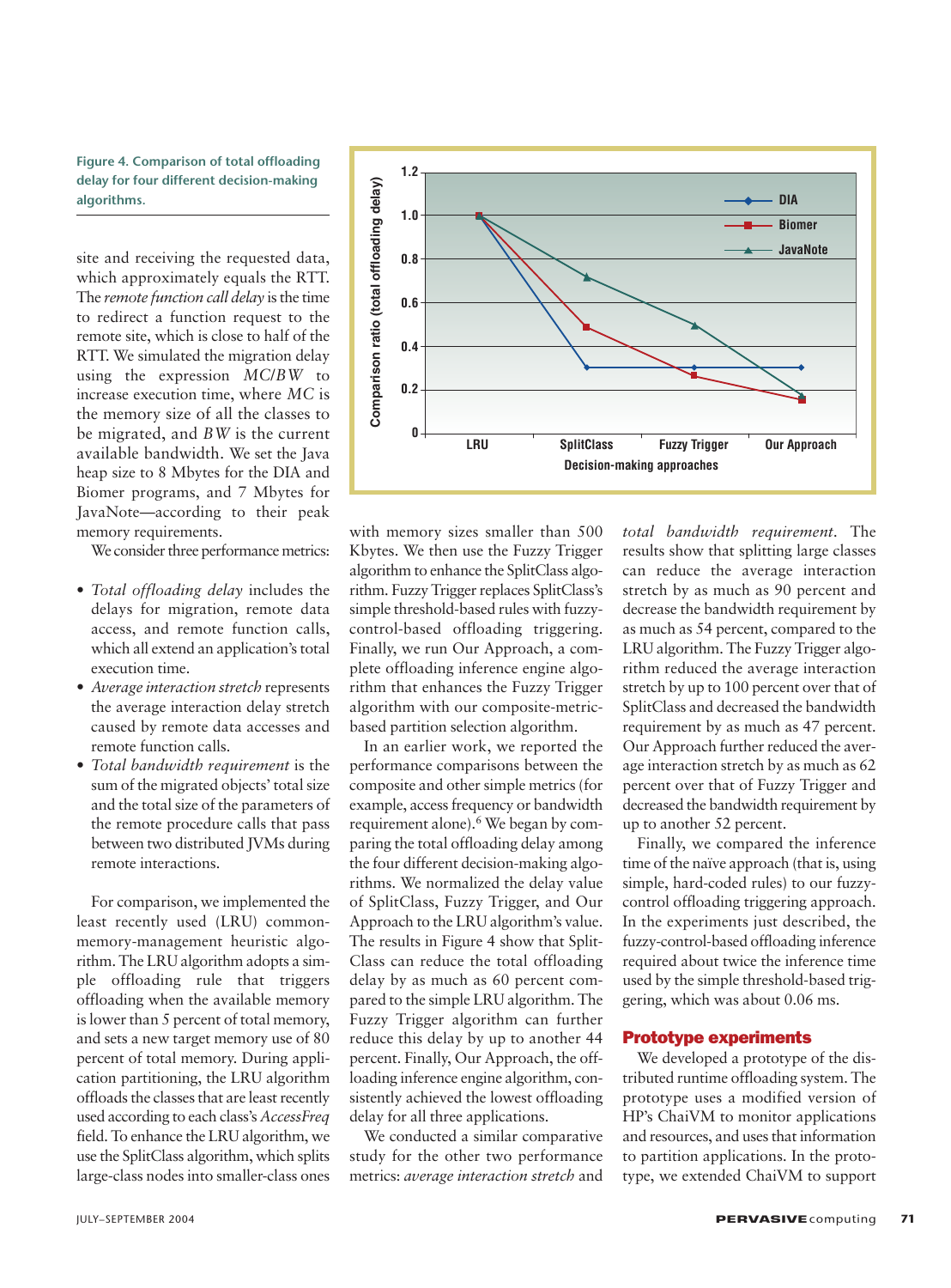**Figure 4. Comparison of total offloading delay for four different decision-making algorithms.**

site and receiving the requested data, which approximately equals the RTT. The *remote function call delay* is the time to redirect a function request to the remote site, which is close to half of the RTT. We simulated the migration delay using the expression *MC*/*BW* to increase execution time, where *MC* is the memory size of all the classes to be migrated, and *BW* is the current available bandwidth. We set the Java heap size to 8 Mbytes for the DIA and Biomer programs, and 7 Mbytes for JavaNote—according to their peak memory requirements.

We consider three performance metrics:

- *Total offloading delay* includes the delays for migration, remote data access, and remote function calls, which all extend an application's total execution time.
- *Average interaction stretch* represents the average interaction delay stretch caused by remote data accesses and remote function calls.
- *Total bandwidth requirement* is the sum of the migrated objects' total size and the total size of the parameters of the remote procedure calls that pass between two distributed JVMs during remote interactions.

For comparison, we implemented the least recently used (LRU) commonmemory-management heuristic algorithm. The LRU algorithm adopts a simple offloading rule that triggers offloading when the available memory is lower than 5 percent of total memory, and sets a new target memory use of 80 percent of total memory. During application partitioning, the LRU algorithm offloads the classes that are least recently used according to each class's *AccessFreq* field. To enhance the LRU algorithm, we use the SplitClass algorithm, which splits large-class nodes into smaller-class ones



with memory sizes smaller than 500 Kbytes. We then use the Fuzzy Trigger algorithm to enhance the SplitClass algorithm. Fuzzy Trigger replaces SplitClass's simple threshold-based rules with fuzzycontrol-based offloading triggering. Finally, we run Our Approach, a complete offloading inference engine algorithm that enhances the Fuzzy Trigger algorithm with our composite-metricbased partition selection algorithm.

In an earlier work, we reported the performance comparisons between the composite and other simple metrics (for example, access frequency or bandwidth requirement alone).6 We began by comparing the total offloading delay among the four different decision-making algorithms. We normalized the delay value of SplitClass, Fuzzy Trigger, and Our Approach to the LRU algorithm's value. The results in Figure 4 show that Split-Class can reduce the total offloading delay by as much as 60 percent compared to the simple LRU algorithm. The Fuzzy Trigger algorithm can further reduce this delay by up to another 44 percent. Finally, Our Approach, the offloading inference engine algorithm, consistently achieved the lowest offloading delay for all three applications.

We conducted a similar comparative study for the other two performance metrics: *average interaction stretch* and

*total bandwidth requirement*. The results show that splitting large classes can reduce the average interaction stretch by as much as 90 percent and decrease the bandwidth requirement by as much as 54 percent, compared to the LRU algorithm. The Fuzzy Trigger algorithm reduced the average interaction stretch by up to 100 percent over that of SplitClass and decreased the bandwidth requirement by as much as 47 percent. Our Approach further reduced the average interaction stretch by as much as 62 percent over that of Fuzzy Trigger and decreased the bandwidth requirement by up to another 52 percent.

Finally, we compared the inference time of the naïve approach (that is, using simple, hard-coded rules) to our fuzzycontrol offloading triggering approach. In the experiments just described, the fuzzy-control-based offloading inference required about twice the inference time used by the simple threshold-based triggering, which was about 0.06 ms.

#### Prototype experiments

We developed a prototype of the distributed runtime offloading system. The prototype uses a modified version of HP's ChaiVM to monitor applications and resources, and uses that information to partition applications. In the prototype, we extended ChaiVM to support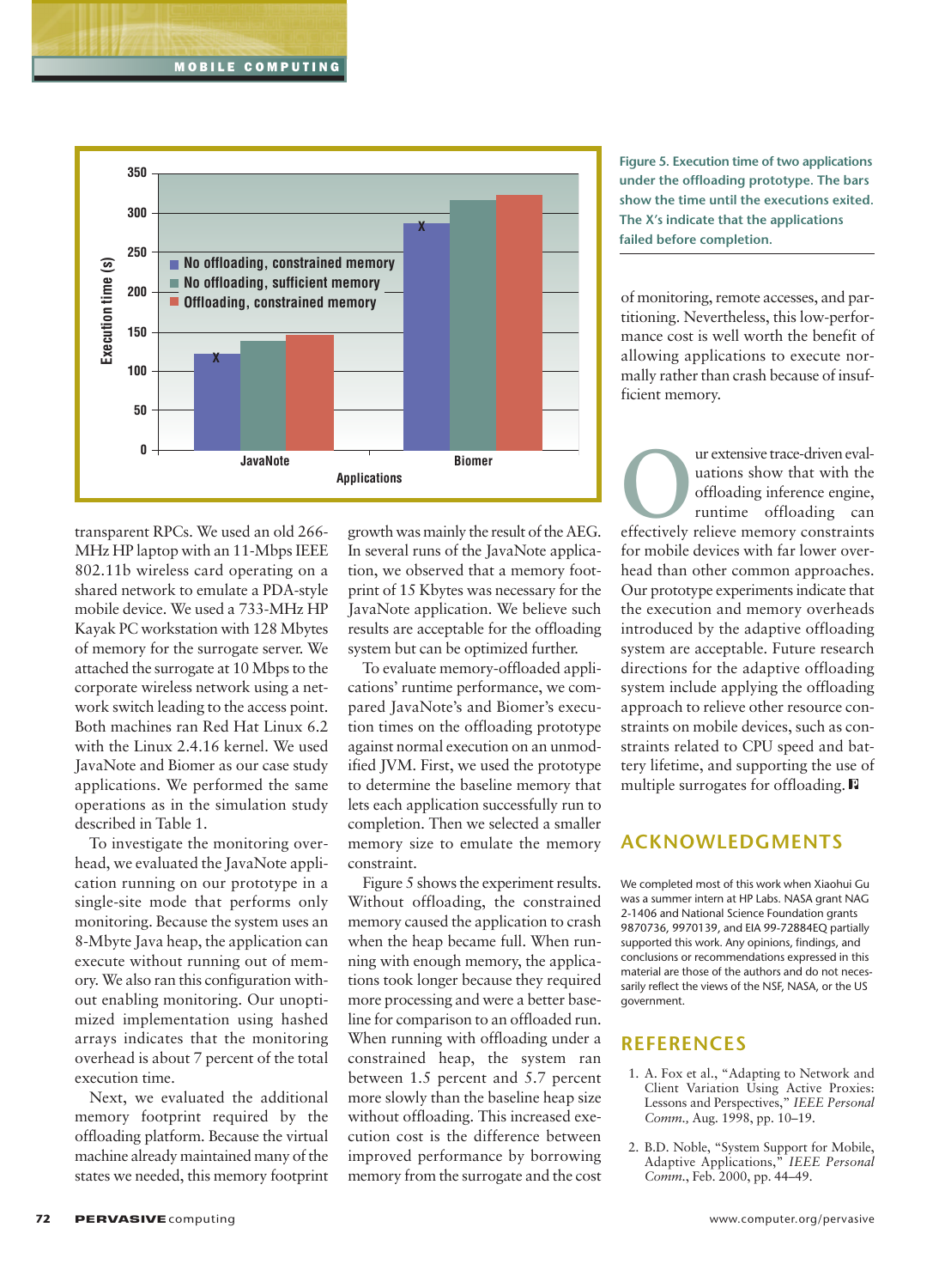

transparent RPCs. We used an old 266- MHz HP laptop with an 11-Mbps IEEE 802.11b wireless card operating on a shared network to emulate a PDA-style mobile device. We used a 733-MHz HP Kayak PC workstation with 128 Mbytes of memory for the surrogate server. We attached the surrogate at 10 Mbps to the corporate wireless network using a network switch leading to the access point. Both machines ran Red Hat Linux 6.2 with the Linux 2.4.16 kernel. We used JavaNote and Biomer as our case study applications. We performed the same operations as in the simulation study described in Table 1.

To investigate the monitoring overhead, we evaluated the JavaNote application running on our prototype in a single-site mode that performs only monitoring. Because the system uses an 8-Mbyte Java heap, the application can execute without running out of memory. We also ran this configuration without enabling monitoring. Our unoptimized implementation using hashed arrays indicates that the monitoring overhead is about 7 percent of the total execution time.

Next, we evaluated the additional memory footprint required by the offloading platform. Because the virtual machine already maintained many of the states we needed, this memory footprint growth was mainly the result of the AEG. In several runs of the JavaNote application, we observed that a memory footprint of 15 Kbytes was necessary for the JavaNote application. We believe such results are acceptable for the offloading system but can be optimized further.

To evaluate memory-offloaded applications' runtime performance, we compared JavaNote's and Biomer's execution times on the offloading prototype against normal execution on an unmodified JVM. First, we used the prototype to determine the baseline memory that lets each application successfully run to completion. Then we selected a smaller memory size to emulate the memory constraint.

Figure 5 shows the experiment results. Without offloading, the constrained memory caused the application to crash when the heap became full. When running with enough memory, the applications took longer because they required more processing and were a better baseline for comparison to an offloaded run. When running with offloading under a constrained heap, the system ran between 1.5 percent and 5.7 percent more slowly than the baseline heap size without offloading. This increased execution cost is the difference between improved performance by borrowing memory from the surrogate and the cost **Figure 5. Execution time of two applications under the offloading prototype. The bars show the time until the executions exited. The X's indicate that the applications failed before completion.**

of monitoring, remote accesses, and partitioning. Nevertheless, this low-performance cost is well worth the benefit of allowing applications to execute normally rather than crash because of insufficient memory.

The urextensive trace-driven evaluations show that with the offloading inference engine, runtime offloading can effectively relieve memory constraints uations show that with the offloading inference engine, runtime offloading can for mobile devices with far lower overhead than other common approaches. Our prototype experiments indicate that the execution and memory overheads introduced by the adaptive offloading system are acceptable. Future research directions for the adaptive offloading system include applying the offloading approach to relieve other resource constraints on mobile devices, such as constraints related to CPU speed and battery lifetime, and supporting the use of multiple surrogates for offloading.

#### **ACKNOWLEDGMENTS**

We completed most of this work when Xiaohui Gu was a summer intern at HP Labs. NASA grant NAG 2-1406 and National Science Foundation grants 9870736, 9970139, and EIA 99-72884EQ partially supported this work. Any opinions, findings, and conclusions or recommendations expressed in this material are those of the authors and do not necessarily reflect the views of the NSF, NASA, or the US government.

#### **REFERENCES**

- 1. A. Fox et al., "Adapting to Network and Client Variation Using Active Proxies: Lessons and Perspectives," *IEEE Personal Comm.,* Aug. 1998, pp. 10–19.
- 2. B.D. Noble, "System Support for Mobile, Adaptive Applications," *IEEE Personal Comm.*, Feb. 2000, pp. 44–49.